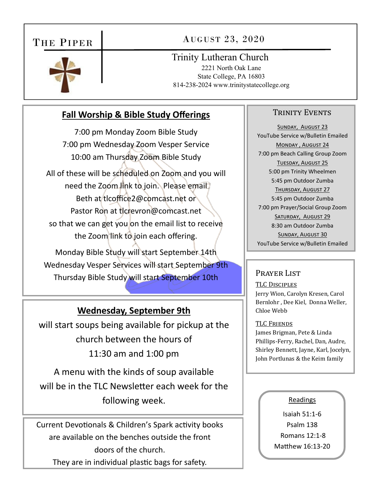# THE PIPER

# AUGUST 23, 2020



Trinity Lutheran Church

2221 North Oak Lane State College, PA 16803 814-238-2024 www.trinitystatecollege.org

# **Fall Worship & Bible Study Offerings**

7:00 pm Monday Zoom Bible Study 7:00 pm Wednesday Zoom Vesper Service 10:00 am Thursday Zoom Bible Study All of these will be scheduled on Zoom and you will need the Zoom link to join. Please email Beth at tlcoffice2@comcast.net or Pastor Ron at tlcrevron@comcast.net so that we can get you on the email list to receive the Zoom link to join each offering. Monday Bible Study will start September 14th Wednesday Vesper Services will start September 9th Thursday Bible Study will start September 10th

## **Wednesday, September 9th**

will start soups being available for pickup at the church between the hours of 11:30 am and 1:00 pm

A menu with the kinds of soup available will be in the TLC Newsletter each week for the following week.

Current Devotionals & Children's Spark activity books are available on the benches outside the front doors of the church. They are in individual plastic bags for safety.

### TRINITY EVENTS

SUNDAY, AUGUST 23 YouTube Service w/Bulletin Emailed MONDAY, AUGUST 24 7:00 pm Beach Calling Group Zoom TUESDAY, AUGUST 25 5:00 pm Trinity Wheelmen 5:45 pm Outdoor Zumba THURSDAY, AUGUST 27 5:45 pm Outdoor Zumba 7:00 pm Prayer/Social Group Zoom SATURDAY, AUGUST 29 8:30 am Outdoor Zumba SUNDAY, AUGUST 30 YouTube Service w/Bulletin Emailed

### Prayer List

TLC DISCIPLES Jerry Wion, Carolyn Kresen, Carol Bernlohr , Dee Kiel, Donna Weller, Chloe Webb

### TLC FRIENDS

James Brigman, Pete & Linda Phillips-Ferry, Rachel, Dan, Audre, Shirley Bennett, Jayne, Karl, Jocelyn, John Portlunas & the Keim family

### Readings

Isaiah 51:1‐6 Psalm 138 Romans 12:1‐8 Matthew 16:13-20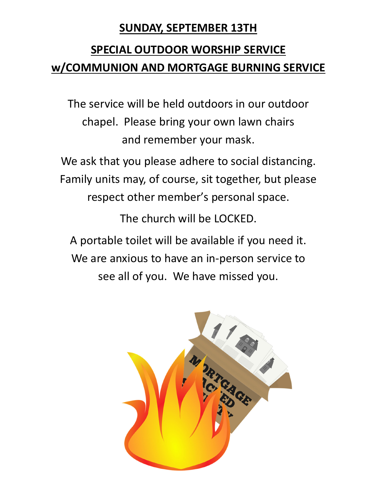# **SUNDAY, SEPTEMBER 13TH**

# **SPECIAL OUTDOOR WORSHIP SERVICE w/COMMUNION AND MORTGAGE BURNING SERVICE**

The service will be held outdoors in our outdoor chapel. Please bring your own lawn chairs and remember your mask.

We ask that you please adhere to social distancing. Family units may, of course, sit together, but please respect other member's personal space.

The church will be LOCKED.

A portable toilet will be available if you need it. We are anxious to have an in‐person service to see all of you. We have missed you.

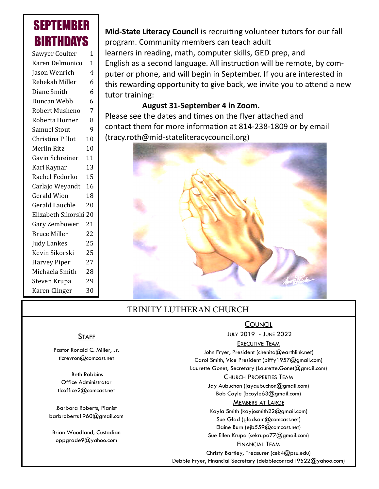# SEPTEMBER **BIRTHDAYS**

| Sawyer Coulter        | 1  |
|-----------------------|----|
| Karen Delmonico       | 1  |
| Jason Wenrich         | 4  |
| Rebekah Miller        | 6  |
| Diane Smith           | 6  |
| Duncan Webb           | 6  |
| Robert Musheno        | 7  |
| Roberta Horner        | 8  |
| <b>Samuel Stout</b>   | 9  |
| Christina Pillot      | 10 |
| Merlin Ritz           | 10 |
| Gavin Schreiner       | 11 |
| Karl Raynar           | 13 |
| Rachel Fedorko        | 15 |
| Carlajo Weyandt       | 16 |
| <b>Gerald Wion</b>    | 18 |
| <b>Gerald Lauchle</b> | 20 |
| Elizabeth Sikorski 20 |    |
| Gary Zembower         | 21 |
| <b>Bruce Miller</b>   | 22 |
| Judy Lankes           | 25 |
| Kevin Sikorski        | 25 |
| <b>Harvey Piper</b>   | 27 |
| Michaela Smith        | 28 |
| Steven Krupa          | 29 |
| Karen Clinger         | 30 |

**Mid-State Literacy Council** is recruiting volunteer tutors for our fall program. Community members can teach adult learners in reading, math, computer skills, GED prep, and English as a second language. All instruction will be remote, by computer or phone, and will begin in September. If you are interested in this rewarding opportunity to give back, we invite you to attend a new tutor training:

### **August 31‐September 4 in Zoom.**

Please see the dates and times on the flyer attached and contact them for more information at 814-238-1809 or by email (tracy.roth@mid‐stateliteracycouncil.org)



# TRINITY LUTHERAN CHURCH

### **COUNCIL**

JULY 2019 - JUNE 2022

### EXECUTIVE TEAM

John Fryer, President (chenita@earthlink.net) Carol Smith, Vice President (piffy1957@gmail.com) Laurette Gonet, Secretary (Laurette.Gonet@gmail.com)

#### CHURCH PROPERTIES TEAM

Jay Aubuchon (jayaubuchon@gmail.com) Bob Coyle (bcoyle63@gmail.com) MEMBERS AT LARGE

Kayla Smith (kayjosmith22@gmail.com) Sue Glad (gladsam@comcast.net) Elaine Burn (ejb559@comcast.net) Sue Ellen Krupa (sekrupa77@gmail.com)

### FINANCIAL TEAM

Christy Bartley, Treasurer (cek4@psu.edu) Debbie Fryer, Financial Secretary (debbieconrad19522@yahoo.com)

### **STAFF**

Pastor Ronald C. Miller, Jr. tlcrevron@comcast.net

 Beth Robbins Office Administrator tlcoffice2@comcast.net

Barbara Roberts, Pianist barbroberts1960@gmail.com

Brian Woodland, Custodian oppgrade9@yahoo.com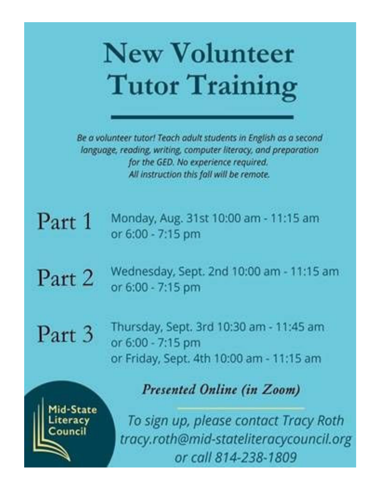

Be a volunteer tutor! Teach adult students in English as a second language, reading, writing, computer literacy, and preparation for the GED. No experience required. All instruction this fall will be remote.

Monday, Aug. 31st 10:00 am - 11:15 am Part 1 or 6:00 - 7:15 pm

Wednesday, Sept. 2nd 10:00 am - 11:15 am Part 2 or 6:00 - 7:15 pm

Part 3

Thursday, Sept. 3rd 10:30 am - 11:45 am or 6:00 - 7:15 pm or Friday, Sept. 4th 10:00 am - 11:15 am

id-State eracy ouncil

Presented Online (in Zoom)

To sign up, please contact Tracy Roth tracy.roth@mid-stateliteracycouncil.org or call 814-238-1809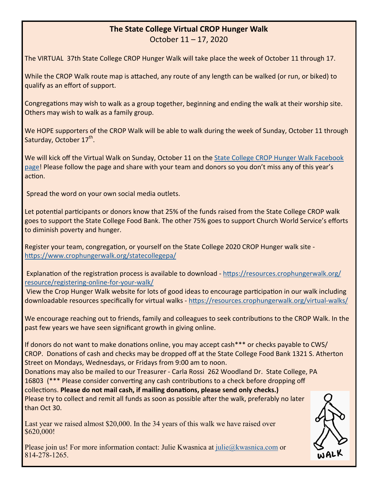### **The State College Virtual CROP Hunger Walk**

October 11 – 17, 2020

The VIRTUAL 37th State College CROP Hunger Walk will take place the week of October 11 through 17.

While the CROP Walk route map is attached, any route of any length can be walked (or run, or biked) to qualify as an effort of support.

Congregations may wish to walk as a group together, beginning and ending the walk at their worship site. Others may wish to walk as a family group.

We HOPE supporters of the CROP Walk will be able to walk during the week of Sunday, October 11 through Saturday, October 17<sup>th</sup>.

We will kick off the Virtual Walk on Sunday, October 11 on the State College CROP Hunger Walk Facebook page! Please follow the page and share with your team and donors so you don't miss any of this year's action.

Spread the word on your own social media outlets.

Let potential participants or donors know that 25% of the funds raised from the State College CROP walk goes to support the State College Food Bank. The other 75% goes to support Church World Service's efforts to diminish poverty and hunger.

Register your team, congregation, or yourself on the State College 2020 CROP Hunger walk site https://www.crophungerwalk.org/statecollegepa/

Explanation of the registration process is available to download - https://resources.crophungerwalk.org/ resource/registering‐online‐for‐your‐walk/

View the Crop Hunger Walk website for lots of good ideas to encourage participation in our walk including downloadable resources specifically for virtual walks - https://resources.crophungerwalk.org/virtual-walks/

We encourage reaching out to friends, family and colleagues to seek contributions to the CROP Walk. In the past few years we have seen significant growth in giving online.

If donors do not want to make donations online, you may accept cash\*\*\* or checks payable to CWS/ CROP. Donations of cash and checks may be dropped off at the State College Food Bank 1321 S. Atherton Street on Mondays, Wednesdays, or Fridays from 9:00 am to noon.

Donations may also be mailed to our Treasurer - Carla Rossi 262 Woodland Dr. State College, PA 16803 (\*\*\* Please consider converting any cash contributions to a check before dropping off collecƟons. **Please do not mail cash, if mailing donaƟons, please send only checks.)** Please try to collect and remit all funds as soon as possible after the walk, preferably no later than Oct 30.

Last year we raised almost \$20,000. In the 34 years of this walk we have raised over \$620,000!

Please join us! For more information contact: Julie Kwasnica at julie@kwasnica.com or 814-278-1265.